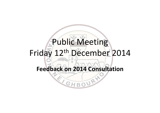# Public Meeting Friday 12th December 2014 Feedback on 2014 Consultation

BOURY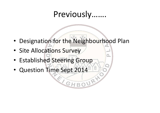# Previously…….

OURY

• Designation for the Neighbourhood Plan

 $GH$ 

- Site Allocations Survey
- Established Steering Group
- Question Time Sept 2014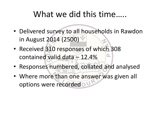# What we did this time....

- Delivered survey to all households in Rawdon in August 2014 (2500) What we did this time.....<br>Delivered survey to all households in Rawdon<br>in August 2014 (2500)<br>Received 310 responses of which 308<br>contained valid data – 12.4%<br>Responses numbered, collated and analysed
- Received 310 responses of which 308
- Responses numbered, collated and analysed
- Where more than one answer was given all options were recorded ou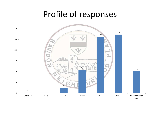#### Profile of responses

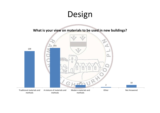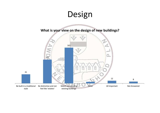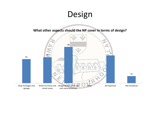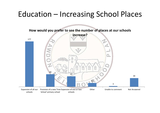# Education – Increasing School Places

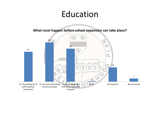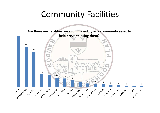# Community Facilities

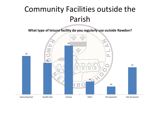# Community Facilities outside the Parish

What type of leisure facility do you regularly use outside Rawdon?

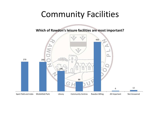# Community Facilities

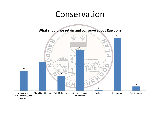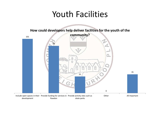#### Youth Facilities

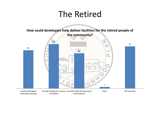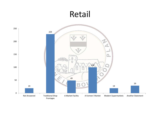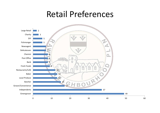#### Retail Preferences

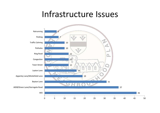#### Infrastructure Issues

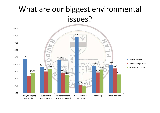#### What are our biggest environmental issues?

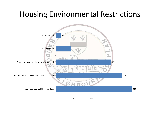#### Housing Environmental Restrictions

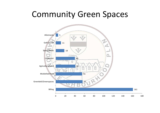#### Community Green Spaces

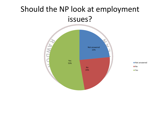#### Should the NP look at employment issues?

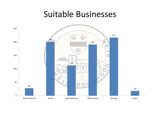#### Suitable Businesses